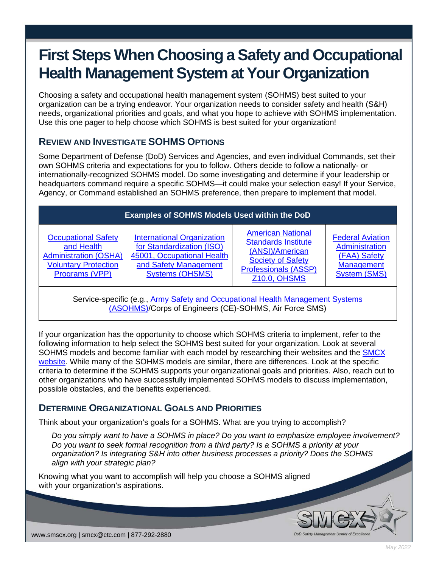# **First Steps When Choosing a Safety and Occupational Health Management System at Your Organization**

Choosing a safety and occupational health management system (SOHMS) best suited to your organization can be a trying endeavor. Your organization needs to consider safety and health (S&H) needs, organizational priorities and goals, and what you hope to achieve with SOHMS implementation. Use this one pager to help choose which SOHMS is best suited for your organization!

# **REVIEW AND INVESTIGATE SOHMS OPTIONS**

Some Department of Defense (DoD) Services and Agencies, and even individual Commands, set their own SOHMS criteria and expectations for you to follow. Others decide to follow a nationally- or internationally-recognized SOHMS model. Do some investigating and determine if your leadership or headquarters command require a specific SOHMS—it could make your selection easy! If your Service, Agency, or Command established an SOHMS preference, then prepare to implement that model.

| <b>Examples of SOHMS Models Used within the DoD</b>                                                                       |                                                                                                                                                 |                                                                                                                                                             |                                                                                                |
|---------------------------------------------------------------------------------------------------------------------------|-------------------------------------------------------------------------------------------------------------------------------------------------|-------------------------------------------------------------------------------------------------------------------------------------------------------------|------------------------------------------------------------------------------------------------|
| <b>Occupational Safety</b><br>and Health<br><b>Administration (OSHA)</b><br><b>Voluntary Protection</b><br>Programs (VPP) | <b>International Organization</b><br>for Standardization (ISO)<br>45001, Occupational Health<br>and Safety Management<br><b>Systems (OHSMS)</b> | <b>American National</b><br><b>Standards Institute</b><br>(ANSI)/American<br><b>Society of Safety</b><br><b>Professionals (ASSP)</b><br><b>Z10.0, OHSMS</b> | <b>Federal Aviation</b><br>Administration<br>(FAA) Safety<br>Management<br><b>System (SMS)</b> |

Service-specific (e.g., Army Safety and Occupational Health Management Systems [\(ASOHMS\)](https://smscx.org/pages/asohms.aspx)/Corps of Engineers (CE)-SOHMS, Air Force SMS)

If your organization has the opportunity to choose which SOHMS criteria to implement, refer to the following information to help select the SOHMS best suited for your organization. Look at several SOHMS models and become familiar with each model by researching their websites and the [SMCX](https://smscx.org/)  [website.](https://smscx.org/) While many of the SOHMS models are similar, there are differences. Look at the specific criteria to determine if the SOHMS supports your organizational goals and priorities. Also, reach out to other organizations who have successfully implemented SOHMS models to discuss implementation, possible obstacles, and the benefits experienced.

## **DETERMINE ORGANIZATIONAL GOALS AND PRIORITIES**

Think about your organization's goals for a SOHMS. What are you trying to accomplish?

*Do you simply want to have a SOHMS in place? Do you want to emphasize employee involvement? Do you want to seek formal recognition from a third party? Is a SOHMS a priority at your organization? Is integrating S&H into other business processes a priority? Does the SOHMS align with your strategic plan?*

Knowing what you want to accomplish will help you choose a SOHMS aligned with your organization's aspirations.